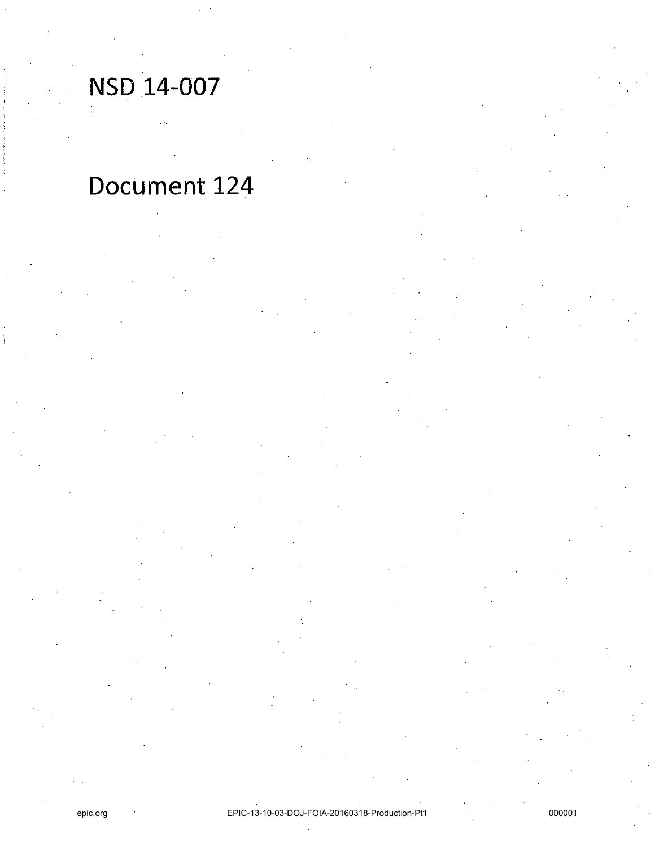NSD 14-007

# Document 124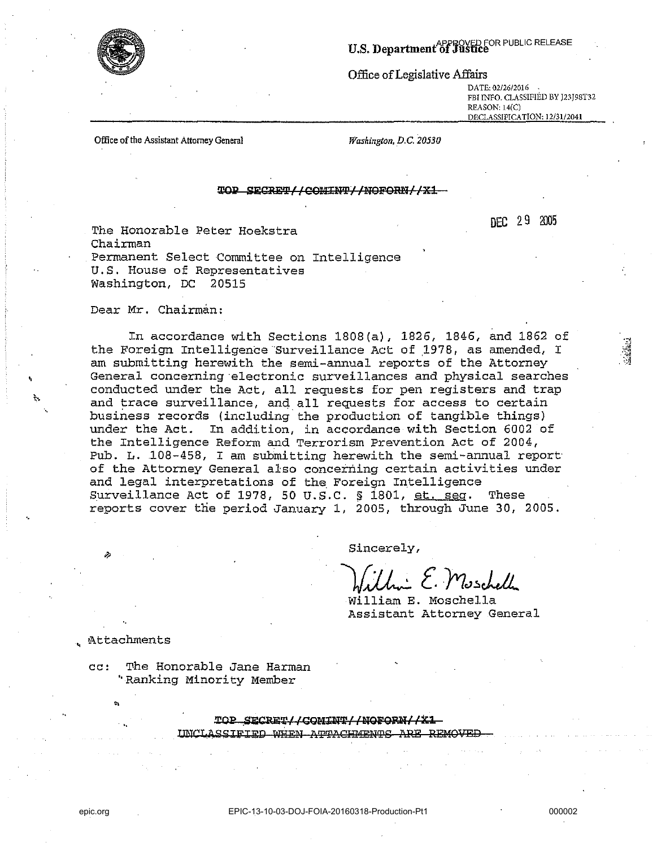

Office of Legislative Affairs

**DATE: 02/26/2016 FBI INFO. CLASSIFIED BY J23J98T32**  REASON, 14(C) **DECLASSIFICATION: 12/31/2041** 

Office of the Assistant Attorney General

*Washington, D.C. 20530* 

#### TOP SECRET//COMINT//NOFORN//X1

DEC 29 2005

The Honorable Peter Hoekstra Chairman Permanent Select Committee on Intelligence U.S. House of Representatives Washington, DC 20515

Dear Mr. Chairman:

In accordance with Sections 1808(a), 1826, 1846, and 1862 of the Foreign Intelligence 'Surveillance Act of 1978, as amended, I am submitting herewith the semi-annual reports of the Attorney General concerning electronic surveillances and physical searches conducted under the Act, all requests for pen registers and trap and trace surveillance, and all requests for access to certain business records (including the production of tangible things) under the Act. In addition, in accordance with Section 6002 of the Intelligence Reform and Terrorism Prevention Act of 2004, Pub. L. ,108-458, I am submitting herewith the semi-annual report of the Attorney General also concerning certain activities under and legal interpretations of the, Foreign Intelligence Surveillance Act of 1978, 50 U.S.C.  $\S$  1801, et. seq. These reports cover the period January 1, 2005, through June 30, 2005.

Sincerely,

 $\mathcal{H}$ illin E. Muschell

William E. Moschella Assistant Attorney General

, !Attachments

CC: The Honorable Jane Harman " Ranking Minority Member

> TOP SECRET//COMINT//NOFORN//X1 INCLASSIFIED WHEN ATTACHMENTS ARE REMOVEH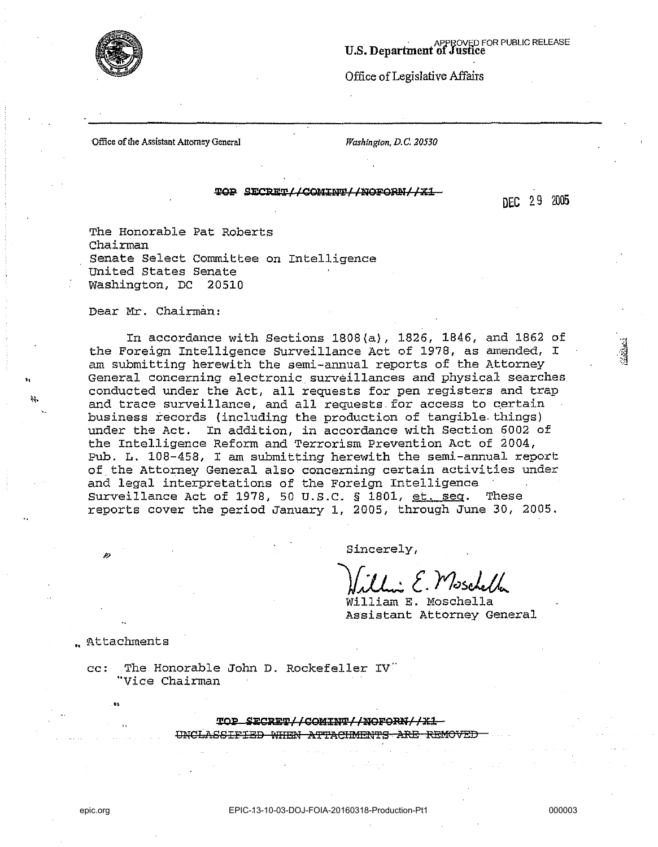

### APPROVED FOR PUBLIC RELEASE<br>U.S. Department of Justice

Office of Legislative Affairs

Office of the Assistant Attorney General *Washington, D.C. 20530* 

#### ~ Si:CqTIICOJ!ll:»~/l!l9FQil!i/ **IXl.**

DEC 29 2005

The Honorable Pat Roberts Chairman senate select Committee on Intelligence united states Senate Washington, DC 20510

Dear Mr. Chairman:

"

In accordance with Sections 1808(a), 1826, 1846, and 1862 of the Foreign Intelligence Surveillance Act of 1978, as amended, I am submitting herewith the semi-annual reports of the Attorney General concerning electronic surveillances and physical searches conducted under the Act, all requests for pen registers and trap and trace surveillance, and all requests for access to certain business records (including the production of tangible. things) under the Act. In addition, in accordance with Section 6002 of the Intelligence Reform and Terrorism Prevention Act of 2004, pub. L. 108-458, I am submitting herewith the semi-annual report of the Attorney General also concerning certain activities under and legal interpretations of the Foreign Intelligence Surveillance Act of 1978, 50 U.S.C. § 1801, et. seq. These reports cover the period January 1, 2005, through June *30, 2005.* 

Sincerely,

+ E. Moscheller

William E. Moschella Assistant Attorney General

.. Attachments

**.**<br> $^{\circ}$ 

cc: The Honorable John D. Rockefeller IV "Vice Chairman

**LOP SECRET// COMINT//NOFORN//X1** 

UNCLASSIFIED WHEN ATTACHMENTS ARE REMOVED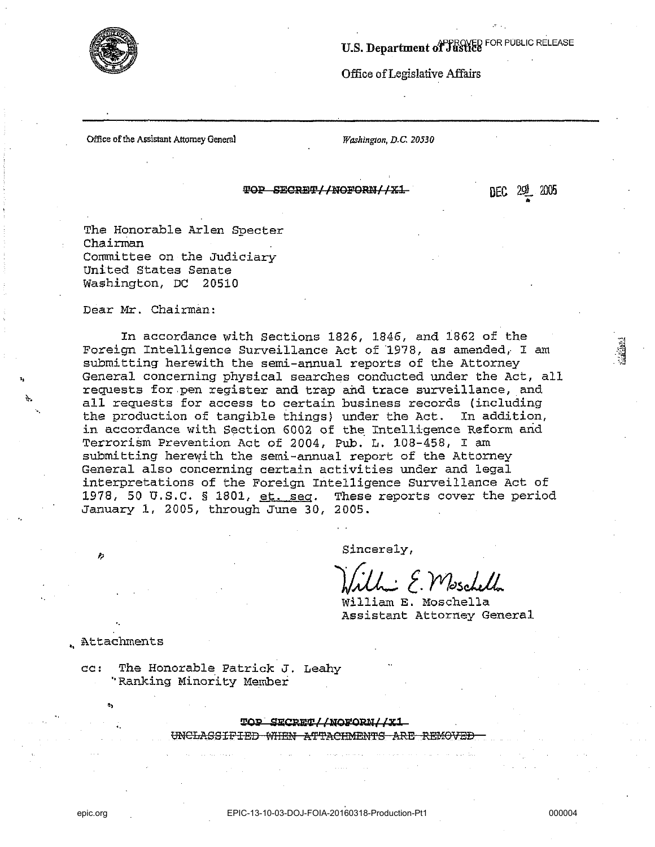

## U.S. Department of Justice FOR PUBLIC RELEASE

Office of Legislative Affairs

Office of the Assistant Attorney General

Washington, D.C. 20530

TOP SECRET//NOFORN//X1

dec 291 2005

The Honorable Arlen Specter Chairman Committee on the Judiciary United States Senate Washington, DC 20510

Dear Mr. Chairman:

In accordance with Sections 1826, 1846, and 1862 of the Foreign Intelligence Surveillance Act of 1978, as amended, I am submitting herewith the semi-annual reports of the Attorney General concerning physical searches conducted under the Act, all requests for pen register and trap and trace surveillance, and all requests for access to certain business records (including the production of tangible things) under the Act. In addition, in accordance with Section 6002 of the Intelligence Reform and Terrorism Prevention Act of 2004, Pub. L. 108-458, I am submitting herewith the semi-annual report of the Attorney General also concerning certain activities under and legal interpretations of the Foreign Intelligence Surveillance Act of 1978, 50 U.S.C. § 1801, et. seq. These reports cover the period January 1, 2005, through June 30, 2005.

Sincerely,

- E. Moschell

William E. Moschella Assistant Attorney General

. Attachments

The Honorable Patrick J. Leahv  $CC:$ "Ranking Minority Member

> TOP SECRET//NOFORM//X1 UNCLASSIFIED WHEN ATTACHMENTS -<del>ARR</del>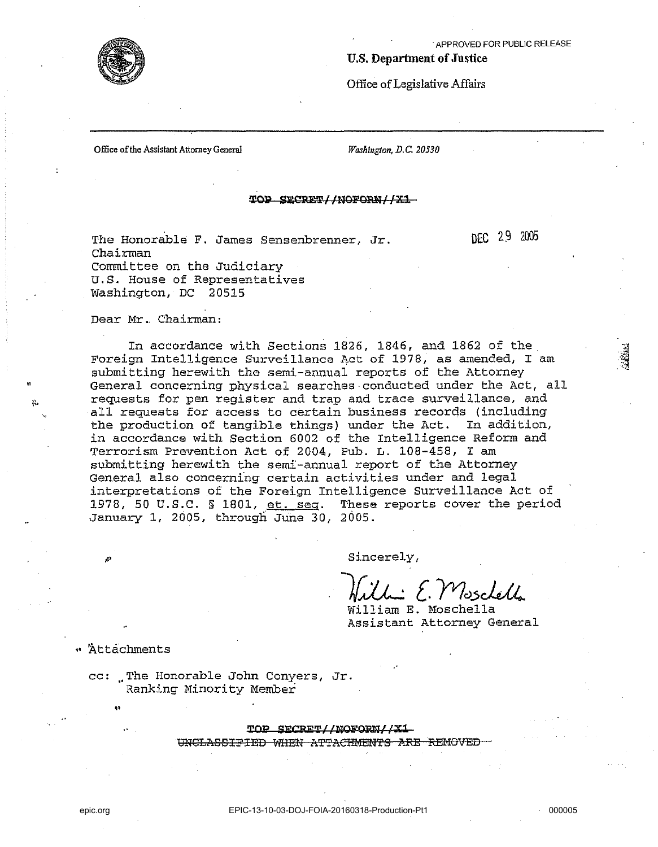DEC 2.9 2005

**Sichons** 

#### U.S. Department of Jnstice

Office of Legislative Affairs

Office of the Assistant Attorney General

*Washington, D.C. 20530* 

#### TOP SECRET//NOFORN//X1

The Honorable F. James Sensenbrenner, Jr. Chairman Committee on the Judiciary u.s. House of Representatives Washington, DC 20515

Dear Mr.. Chairman:

In accordance with Sections 1826, 1846, and 1862 of the Foreign Intelligence Surveillance Act of 1978, as amended, I am submitting herewith the semi-annual reports of the Attorney General concerning physical searches·conducted under the Act, all requests for pen register and trap and trace surveillance, and all requests for access to certain business records (including the production of tangible things) under the Act. In addition, in accordance with Section 6002 of the Intelligence Reform and Terrorism Prevention Act of 2004, Pub. L. 108-458, I am submitting herewith the semi-annual report of the Attorney General also concerning certain activities under and legal interpretations of the Foreign Intelligence Surveillance Act of 1978, 50 U.S.C. § 1801, et. seq. These reports cover the period January 1, 2005, through June 30, 2005.

Sincerely,

Willie E. Mosclella

William E. Moschella Assistant Attorney General

" Attachments

cc: .. The Honorable John Conyers, Jr. Ranking Minority Member

TOP SECRET//NOFORN//X1

UNCLASSIFIED WHEN ATTACHMENTS ARE REMOVED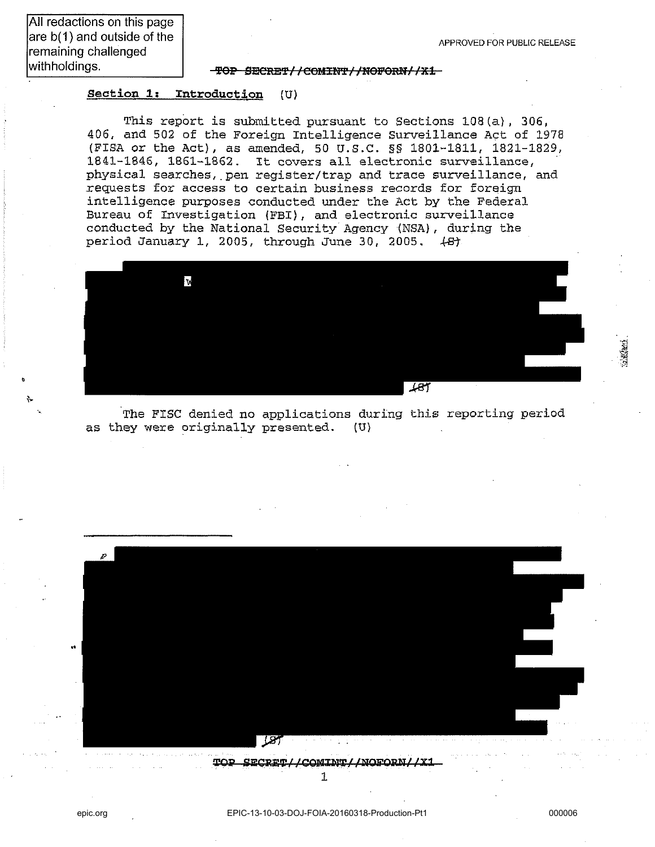withholdings. 'fep SECRE'f/ /COMHfi'/ /NeFeRN/ /JEl

#### section 1: Introduction (U)

This report *is* submitted pursuant to Sections l08(a), 306, *406,* and 502 of the Foreign Intelligence Surveillance Act of 1978 (FISA or the Act), as amended, 50 U.S.C. §§ 1801-1811, 1821-1829, 1841-1846, 1861-1862. It covers all electronic surveillance, physical searches, pen register/trap and trace surveillance, and requests for access to certain business records for foreign intelligence purposes conducted under the Act by the Federal Bureau of Investigation (FBI), and electronic surveillance conducted by the National Security Agency (NSA) , during the period January 1, 2005, through June 30, 2005. *+B1* 



The FISC denied no applications during this reporting period as they were originally presented. (U)

.. <u>L87</u>

TOP SECRET//COMINT//NOFORN//X1 1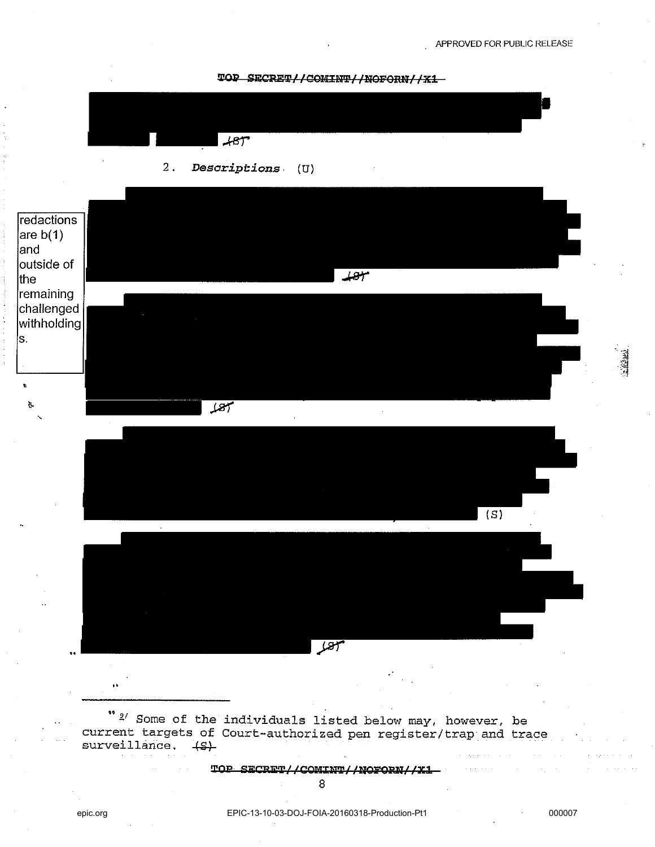TOP SECRET//COMINT//NOFORN//X1





TOP SECRET//COMINT//NOFORN//X1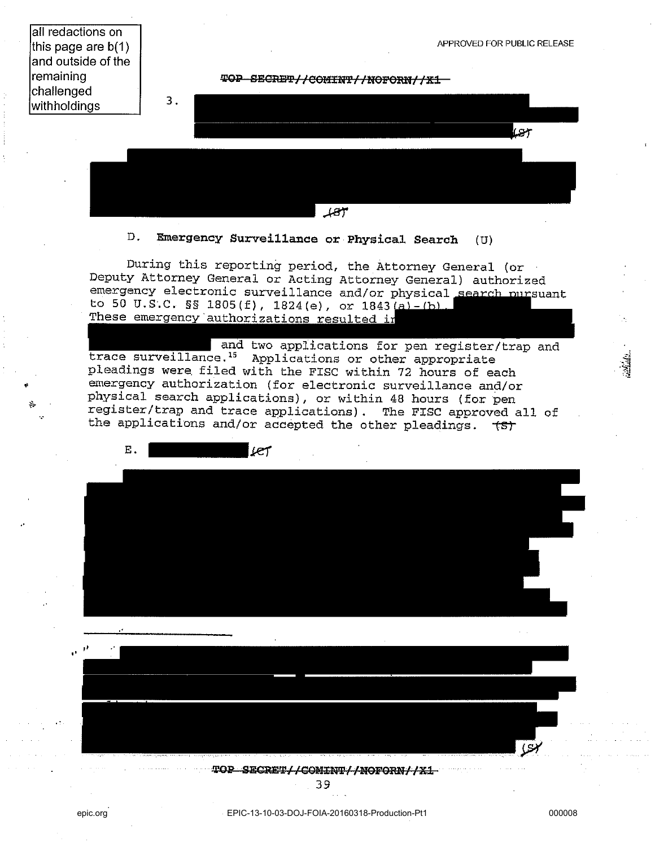all redactions on this page are b(1) and outside of the remaining challenged 3. with holdings APPROVED FOR PUBLIC RELEASE **TOP SECRET//COMINT//NOFORN//X1** 

 $187$ 

### D. **Emergency Surveillance** or Physical **Search** (U)

During this reporting period, the Attorney General (or Deputy Attorney General or Acting Attorney General) authorized emergency electronic surveillance and/or physical search pursuant to 50 U.S.C. §§ 1805(f), 1824(e), or  $1843(a) - (b)$ . These emergency authorizations resulted in

and two applications for pen register/trap and trace surveillance.<sup>15</sup> Applications or other appropriate pleadings were, filed with the FISC within 72 hours of each emergency authorization (for electronic surveillance and/or physical search applications), or within 48 hours (for pen register/trap and trace applications). The FISC approved all of the applications and/or accepted the other pleadings. *\SJ* 





39

"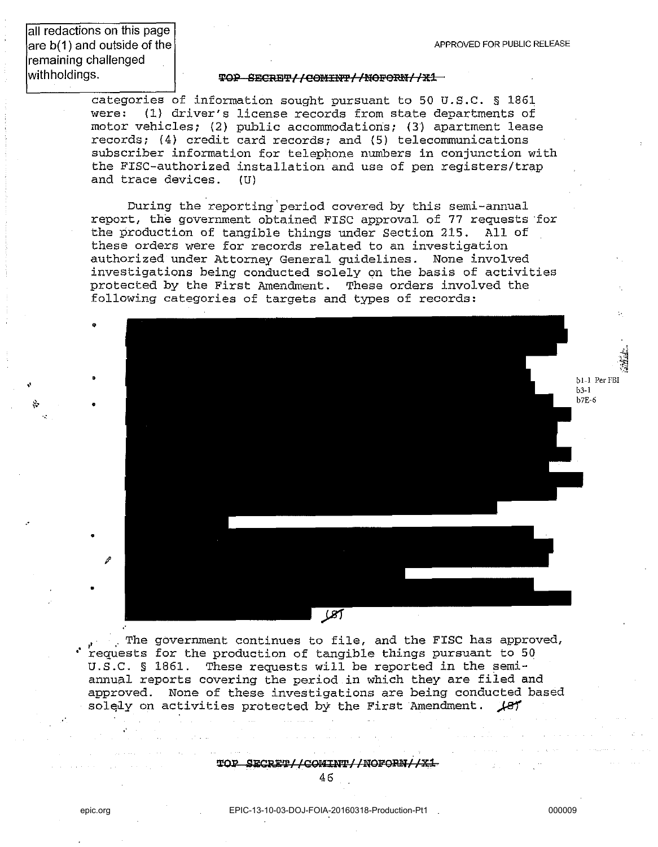all redactions on this page are b(1) and outside of the remaining challenged withholdings.

•

•

•

•

•

"

.'

#### TOP SECRET//COMINT//NOFORN//X1

categories of information sought pursuant to 50 U.S.C. § 1861 were: (1) driver's license records from state departments of motor vehicles; (2) public accommodations; (3) apartment lease records; (4) credit card records; and (5) telecommunications subscriber information for telephone numbers in conjunction with the FISC-authorized installation and use of pen registers/trap and trace devices. (U)

During the reporting'period covered by this semi-annual report, the government obtained FISC approval of 77 requests 'for the production of tangible things under Section 215. All of these orders were for records related to an investigation authorized under Attorney General guidelines. None involved investigations being conducted solely on the basis of activities protected by the First Amendment. These orders involved the following categories of targets and types of records:



. The government continues to file, and the FISC has approved, requests for the production of tangible things pursuant to 50 U.S.C. § 1861. These requests will be reported in the semiannual reports covering the period in which they are filed and approved. None of these investigations are being conducted based solely on activities protected by the First Amendment.  $\mathcal{A}$ 87

TOP SECRET//COMINT//NOFORN//X1

 $\mathbf{u}'$ '~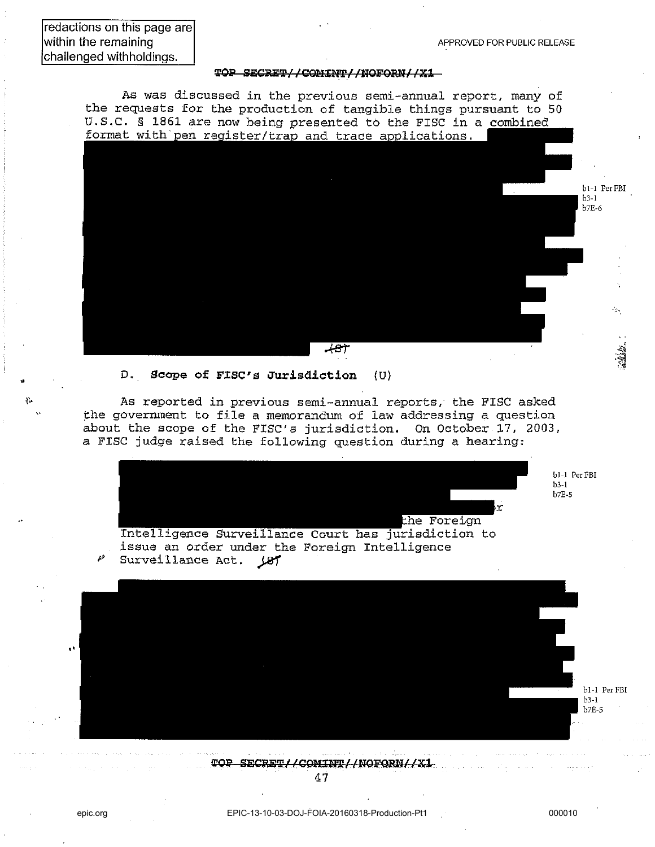#### **'J.!OP SEGMIP/ I COI!U;NIPlINOFORNllxi**

As was discussed in the previous semi-annual report, many of the requests for the production of tangible things pursuant to 50 U.S.C. § 1861 are now being presented to the FISC in a combined format with pen register/trap and trace applications.



#### D. Scope of FISC's Jurisdiction (U)

As reported in previous semi-annual reports, the FISC asked the government to file a memorandum of law addressing a question about the scope of the FISC's jurisdiction. On October 17, 2003, a FISC judge raised the following question during a hearing:



**bl-l PcrFBI b3-1 h7E-S** 



TOP SECRET//COMINT//NOFORN//X1

**.'**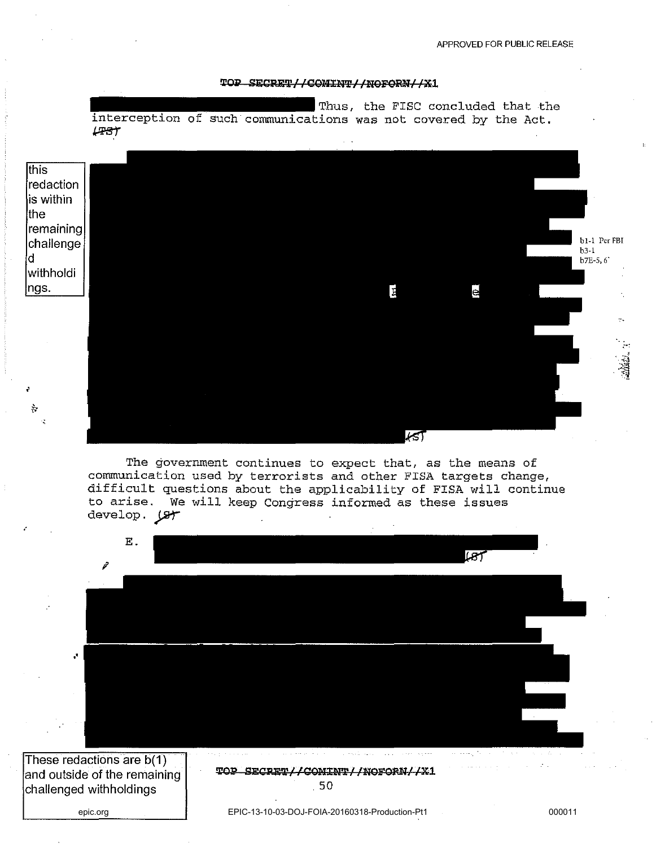#### TOP SECRET// COMINT// NOFORN/ / X1

Thus, the FISC concluded that the interception of such communications was not covered by the Act.  $\mu$ BT



The government continues to expect that, as the means of communication used by terrorists and other FISA targets change, difficult questions about the applicability of FISA will continue to arise. We will keep Congress informed as these issues develop.  $\mathcal{F}$ 

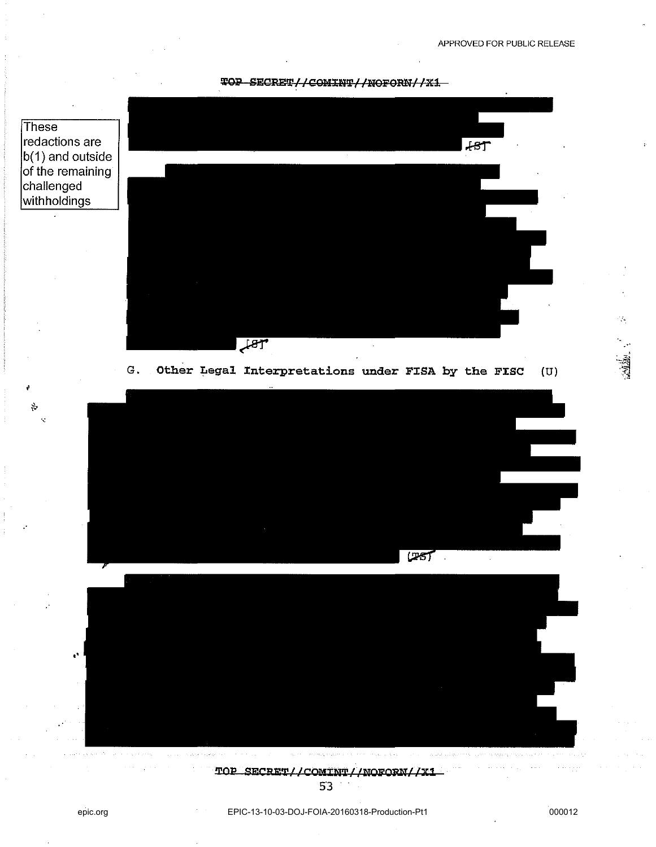





G. Other Legal Interpretations under FISA by the FISC (U)







53

.'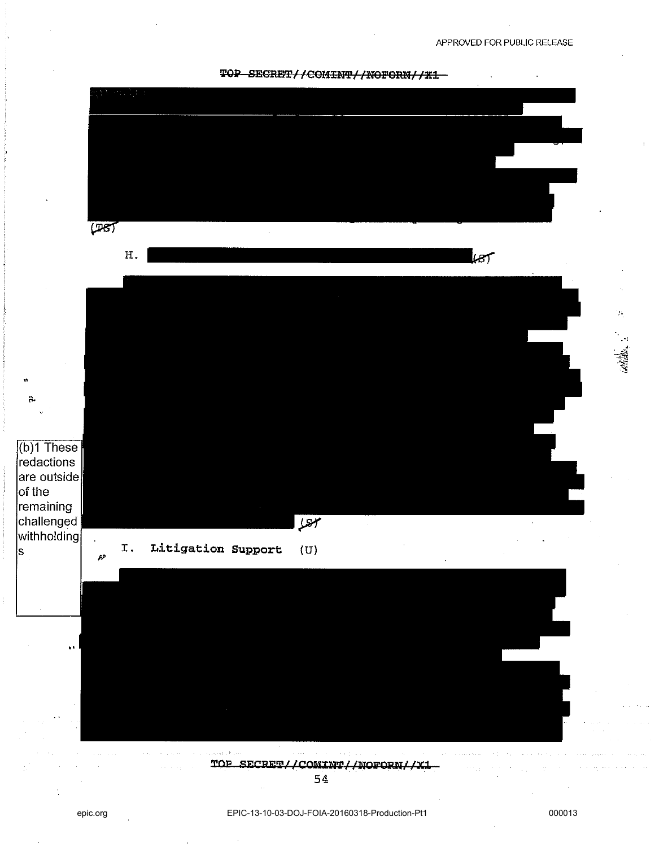APPROVED FOR PUBLIC RELEASE



aadib.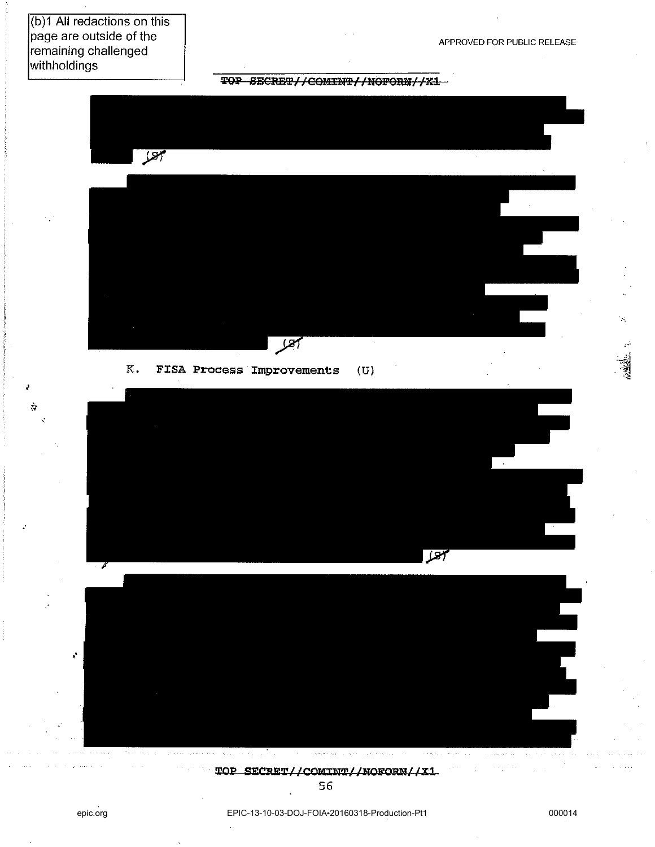(b)1 All redactions on this page are outside of the remaining challenged withholdings

à

APPROVED FOR PUBLIC RELEASE

TOP SECRET//COMINT//NOFORN//X1



 $K_{\bullet}$ FISA Process Improvements  $(U)$ 



 $\epsilon_{\rm eff}$  ,  $\epsilon_{\rm e}$ where  $\alpha$  is  $\rho_{\rm SN} = \pi / (m_{\rm pl} \epsilon / \epsilon)$  . The second section e e mara de la provincia de l  $\mathbb{E}\left[\left\langle \mathbb{E}_{\mathbf{y}}\left(\mathbf{y},\mathbf{y}\right),\mathbb{E}_{\mathbf{y}}\left(\mathbf{y},\mathbf{y}\right)\right\rangle \right] =\left\langle \mathbb{E}_{\mathbf{y}}\left(\mathbb{E}_{\mathbf{y}}\left(\mathbf{y},\mathbf{y}\right),\mathbb{E}_{\mathbf{y}}\left(\mathbf{y},\mathbf{y}\right),\mathbb{E}_{\mathbf{y}}\left(\mathbf{y},\mathbf{y}\right)\right)\right\rangle$ 

TOP SECRET//COMINT//NOFORN//X1

56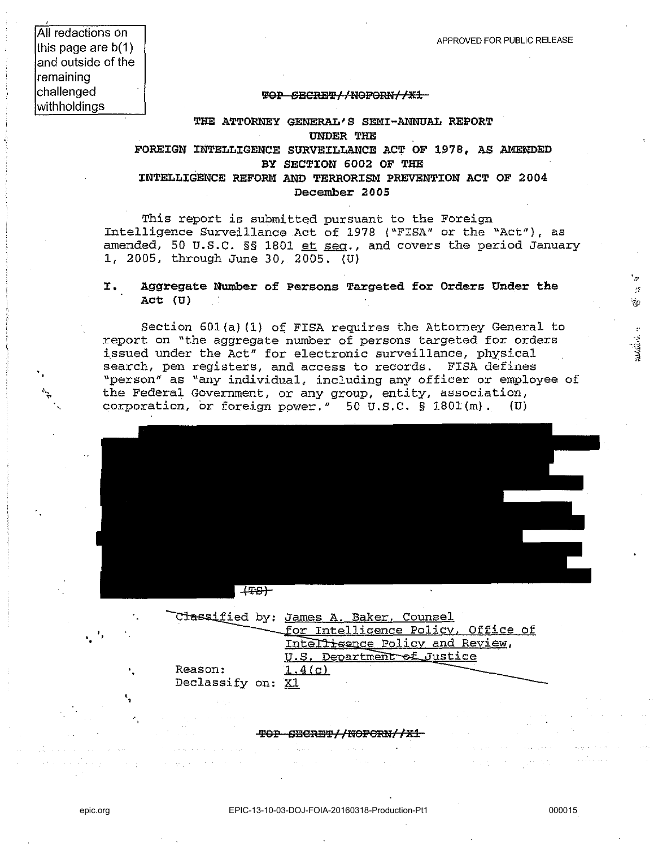'",'

 $\Delta V$  $\frac{1}{2}$  .

All redactions on this page are b(1) and outside of the remaining challenged withholdings

#### TOP SECRET//NOFORN//X1

### THE ATTORNEY GENERAL'S SEMI-ANNUAL REPORT UNDER THE FOREIGN INTELLIGENCE SURVEILLANCE ACT OF 1978, AS AMENDED BY SECTION 6002 OF THE INTELLIGENCE REFORM AND TERRORISM PREVENTION ACT OF 2004 December 2005

This report is submitted pursuant to the Foreign Intelligence Surveillance .Act of 1978 ("FISA" or the "Act"), as amended, 50 U.S.C.  $\S$ § 1801 et seg., and covers the period January 1, 2005, through June 30, 2005. (U)

#### **I.** Aggregate Number of Persons Targeted for Orders Under the Act (U)

Section  $601(a)$  (1) of FISA requires the Attorney General to report on "the aggregate number of persons targeted for orders issued under the Act" for electronic surveillance, physical search, pen registers, and access to records. FISA defines "person" as "any individual, including any officer or employee of the Federal Government, or any group, entity, association, corporation, or foreign power." 50 U.S.C.  $\S$  1801 $(m)$ . (U)



|  | Classified by: James A. Baker, Counsel |
|--|----------------------------------------|
|  | for Intelligence Policy, Office of     |
|  | Intelligence Policy and Review,        |
|  | U.S. Department of Justice             |
|  | Reason:<br>1.4(c)                      |
|  | Declassify on: X1                      |
|  |                                        |
|  |                                        |

**'fOP DEe:RB'£' II NOPORNlllEl** 

in Nord<br>1980 - Paris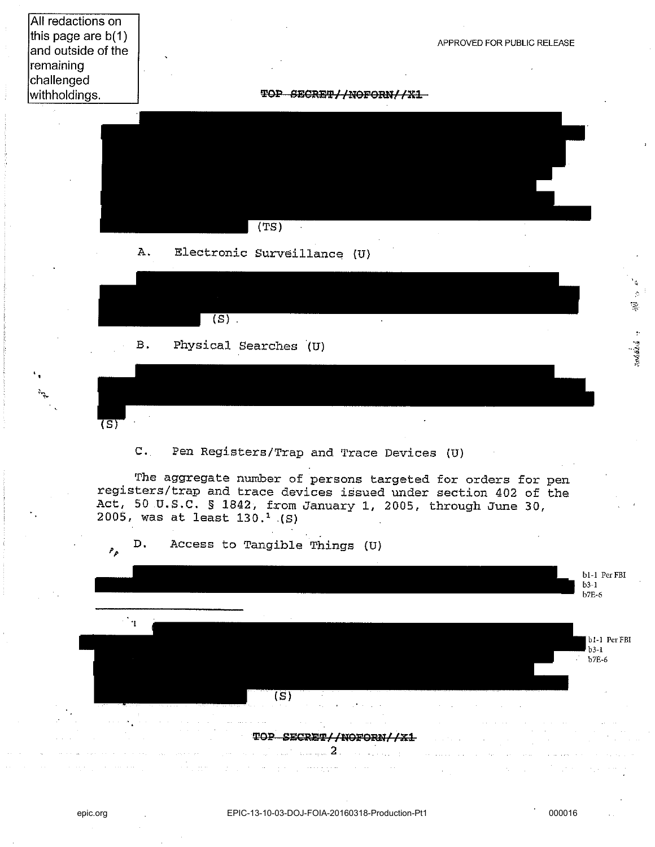All redactions on this page are b(1) and outside of the remaining challenged withholdings.

APPROVED FOR PUBLIC RELEASE

**TOP SECRET//NOFORN//X1** 



B. Physical Searches (U)

 $(S)$ .

c. Pen Registers/Trap and Trace Devices (U)

The aggregate number of persons targeted for orders for pen registers/trap and trace devices issued under section *402* of the Act, 50,U.S.C. § 1842, from January 1, 2005, through June *30, 2005,* was at least 130. ' .(S)

D. Access to Tangible Things (U)



 $(5)$ 

epic.org EPIC-13-10-03-DOJ-FOIA-20160318-Production-Pt1 000016

 $\mathcal{L}$ ž.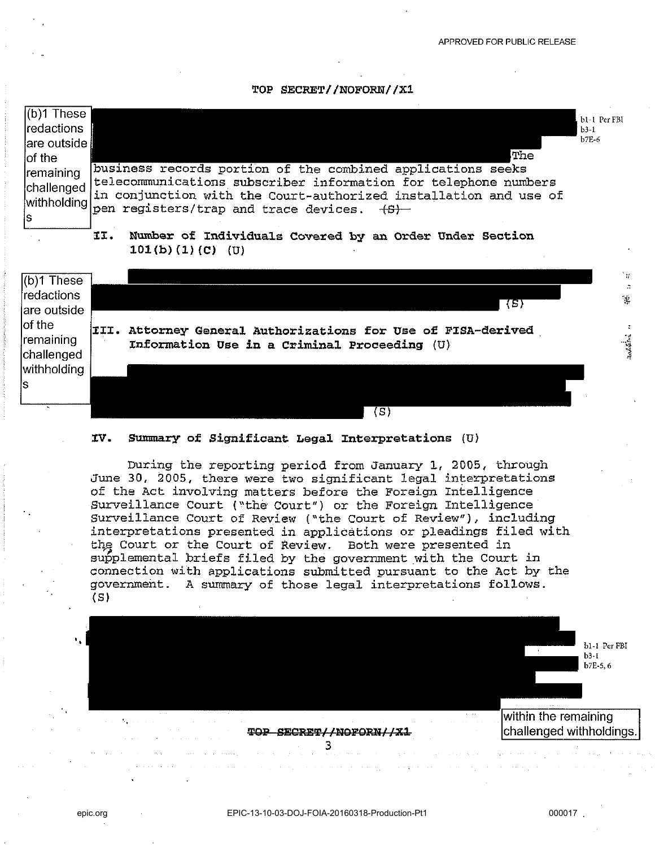TOP *SECRET*//NOFORN//X1





During the reporting period from January 1, 2005, through June 30, 2005, there were two significant legal interpretations of the Act involving matters before the Foreign Intelligence Surveillance Court ("the Court") or the Foreign Intelligence Surveillance Court of Review ("the Court of Review"), including interpretations presented in applications or pleadings filed with the Court or the Court of Review. Both were presented in supplemental briefs filed by the government with the Court in connection with applications submitted pursuant to the Act by the government. A summary of those legal interpretations follows. (S)